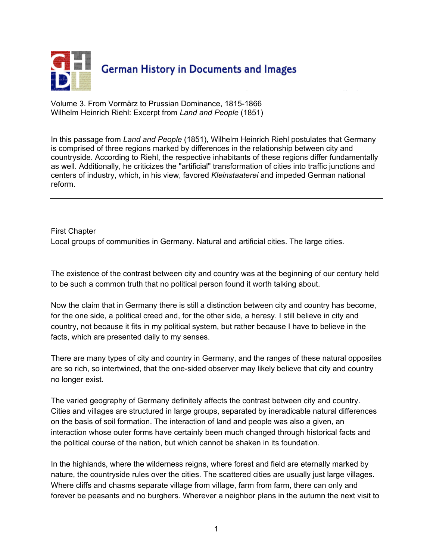

Volume 3. From Vormärz to Prussian Dominance, 1815-1866 Wilhelm Heinrich Riehl: Excerpt from *Land and People* (1851)

In this passage from *Land and People* (1851), Wilhelm Heinrich Riehl postulates that Germany is comprised of three regions marked by differences in the relationship between city and countryside. According to Riehl, the respective inhabitants of these regions differ fundamentally as well. Additionally, he criticizes the "artificial" transformation of cities into traffic junctions and centers of industry, which, in his view, favored *Kleinstaaterei* and impeded German national reform.

First Chapter Local groups of communities in Germany. Natural and artificial cities. The large cities.

The existence of the contrast between city and country was at the beginning of our century held to be such a common truth that no political person found it worth talking about.

Now the claim that in Germany there is still a distinction between city and country has become, for the one side, a political creed and, for the other side, a heresy. I still believe in city and country, not because it fits in my political system, but rather because I have to believe in the facts, which are presented daily to my senses.

There are many types of city and country in Germany, and the ranges of these natural opposites are so rich, so intertwined, that the one-sided observer may likely believe that city and country no longer exist.

The varied geography of Germany definitely affects the contrast between city and country. Cities and villages are structured in large groups, separated by ineradicable natural differences on the basis of soil formation. The interaction of land and people was also a given, an interaction whose outer forms have certainly been much changed through historical facts and the political course of the nation, but which cannot be shaken in its foundation.

In the highlands, where the wilderness reigns, where forest and field are eternally marked by nature, the countryside rules over the cities. The scattered cities are usually just large villages. Where cliffs and chasms separate village from village, farm from farm, there can only and forever be peasants and no burghers. Wherever a neighbor plans in the autumn the next visit to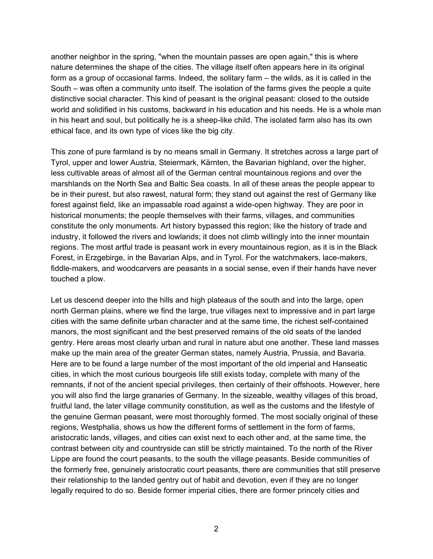another neighbor in the spring, "when the mountain passes are open again," this is where nature determines the shape of the cities. The village itself often appears here in its original form as a group of occasional farms. Indeed, the solitary farm – the wilds, as it is called in the South – was often a community unto itself. The isolation of the farms gives the people a quite distinctive social character. This kind of peasant is the original peasant: closed to the outside world and solidified in his customs, backward in his education and his needs. He is a whole man in his heart and soul, but politically he is a sheep-like child. The isolated farm also has its own ethical face, and its own type of vices like the big city.

This zone of pure farmland is by no means small in Germany. It stretches across a large part of Tyrol, upper and lower Austria, Steiermark, Kärnten, the Bavarian highland, over the higher, less cultivable areas of almost all of the German central mountainous regions and over the marshlands on the North Sea and Baltic Sea coasts. In all of these areas the people appear to be in their purest, but also rawest, natural form; they stand out against the rest of Germany like forest against field, like an impassable road against a wide-open highway. They are poor in historical monuments; the people themselves with their farms, villages, and communities constitute the only monuments. Art history bypassed this region; like the history of trade and industry, it followed the rivers and lowlands; it does not climb willingly into the inner mountain regions. The most artful trade is peasant work in every mountainous region, as it is in the Black Forest, in Erzgebirge, in the Bavarian Alps, and in Tyrol. For the watchmakers, lace-makers, fiddle-makers, and woodcarvers are peasants in a social sense, even if their hands have never touched a plow.

Let us descend deeper into the hills and high plateaus of the south and into the large, open north German plains, where we find the large, true villages next to impressive and in part large cities with the same definite urban character and at the same time, the richest self-contained manors, the most significant and the best preserved remains of the old seats of the landed gentry. Here areas most clearly urban and rural in nature abut one another. These land masses make up the main area of the greater German states, namely Austria, Prussia, and Bavaria. Here are to be found a large number of the most important of the old imperial and Hanseatic cities, in which the most curious bourgeois life still exists today, complete with many of the remnants, if not of the ancient special privileges, then certainly of their offshoots. However, here you will also find the large granaries of Germany. In the sizeable, wealthy villages of this broad, fruitful land, the later village community constitution, as well as the customs and the lifestyle of the genuine German peasant, were most thoroughly formed. The most socially original of these regions, Westphalia, shows us how the different forms of settlement in the form of farms, aristocratic lands, villages, and cities can exist next to each other and, at the same time, the contrast between city and countryside can still be strictly maintained. To the north of the River Lippe are found the court peasants, to the south the village peasants. Beside communities of the formerly free, genuinely aristocratic court peasants, there are communities that still preserve their relationship to the landed gentry out of habit and devotion, even if they are no longer legally required to do so. Beside former imperial cities, there are former princely cities and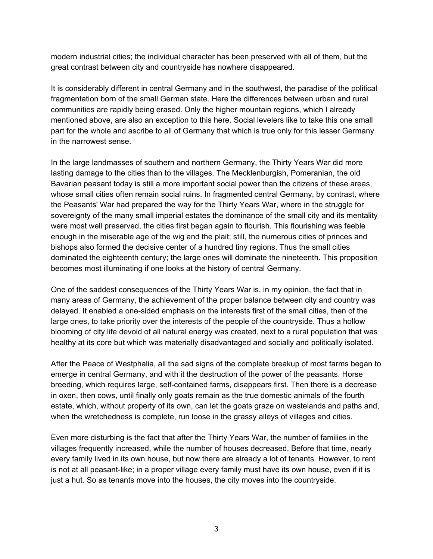modern industrial cities; the individual character has been preserved with all of them, but the great contrast between city and countryside has nowhere disappeared.

It is considerably different in central Germany and in the southwest, the paradise of the political fragmentation born of the small German state. Here the differences between urban and rural communities are rapidly being erased. Only the higher mountain regions, which I already mentioned above, are also an exception to this here. Social levelers like to take this one small part for the whole and ascribe to all of Germany that which is true only for this lesser Germany in the narrowest sense.

In the large landmasses of southern and northern Germany, the Thirty Years War did more lasting damage to the cities than to the villages. The Mecklenburgish, Pomeranian, the old Bavarian peasant today is still a more important social power than the citizens of these areas, whose small cities often remain social ruins. In fragmented central Germany, by contrast, where the Peasants' War had prepared the way for the Thirty Years War, where in the struggle for sovereignty of the many small imperial estates the dominance of the small city and its mentality were most well preserved, the cities first began again to flourish. This flourishing was feeble enough in the miserable age of the wig and the plait; still, the numerous cities of princes and bishops also formed the decisive center of a hundred tiny regions. Thus the small cities dominated the eighteenth century; the large ones will dominate the nineteenth. This proposition becomes most illuminating if one looks at the history of central Germany.

One of the saddest consequences of the Thirty Years War is, in my opinion, the fact that in many areas of Germany, the achievement of the proper balance between city and country was delayed. It enabled a one-sided emphasis on the interests first of the small cities, then of the large ones, to take priority over the interests of the people of the countryside. Thus a hollow blooming of city life devoid of all natural energy was created, next to a rural population that was healthy at its core but which was materially disadvantaged and socially and politically isolated.

After the Peace of Westphalia, all the sad signs of the complete breakup of most farms began to emerge in central Germany, and with it the destruction of the power of the peasants. Horse breeding, which requires large, self-contained farms, disappears first. Then there is a decrease in oxen, then cows, until finally only goats remain as the true domestic animals of the fourth estate, which, without property of its own, can let the goats graze on wastelands and paths and, when the wretchedness is complete, run loose in the grassy alleys of villages and cities.

Even more disturbing is the fact that after the Thirty Years War, the number of families in the villages frequently increased, while the number of houses decreased. Before that time, nearly every family lived in its own house, but now there are already a lot of tenants. However, to rent is not at all peasant-like; in a proper village every family must have its own house, even if it is just a hut. So as tenants move into the houses, the city moves into the countryside.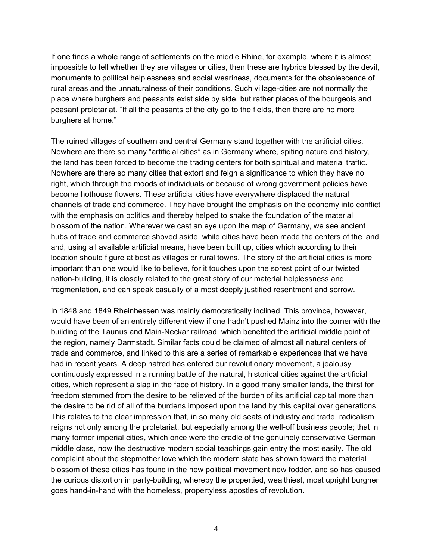If one finds a whole range of settlements on the middle Rhine, for example, where it is almost impossible to tell whether they are villages or cities, then these are hybrids blessed by the devil, monuments to political helplessness and social weariness, documents for the obsolescence of rural areas and the unnaturalness of their conditions. Such village-cities are not normally the place where burghers and peasants exist side by side, but rather places of the bourgeois and peasant proletariat. "If all the peasants of the city go to the fields, then there are no more burghers at home."

The ruined villages of southern and central Germany stand together with the artificial cities. Nowhere are there so many "artificial cities" as in Germany where, spiting nature and history, the land has been forced to become the trading centers for both spiritual and material traffic. Nowhere are there so many cities that extort and feign a significance to which they have no right, which through the moods of individuals or because of wrong government policies have become hothouse flowers. These artificial cities have everywhere displaced the natural channels of trade and commerce. They have brought the emphasis on the economy into conflict with the emphasis on politics and thereby helped to shake the foundation of the material blossom of the nation. Wherever we cast an eye upon the map of Germany, we see ancient hubs of trade and commerce shoved aside, while cities have been made the centers of the land and, using all available artificial means, have been built up, cities which according to their location should figure at best as villages or rural towns. The story of the artificial cities is more important than one would like to believe, for it touches upon the sorest point of our twisted nation-building, it is closely related to the great story of our material helplessness and fragmentation, and can speak casually of a most deeply justified resentment and sorrow.

In 1848 and 1849 Rheinhessen was mainly democratically inclined. This province, however, would have been of an entirely different view if one hadn't pushed Mainz into the corner with the building of the Taunus and Main-Neckar railroad, which benefited the artificial middle point of the region, namely Darmstadt. Similar facts could be claimed of almost all natural centers of trade and commerce, and linked to this are a series of remarkable experiences that we have had in recent years. A deep hatred has entered our revolutionary movement, a jealousy continuously expressed in a running battle of the natural, historical cities against the artificial cities, which represent a slap in the face of history. In a good many smaller lands, the thirst for freedom stemmed from the desire to be relieved of the burden of its artificial capital more than the desire to be rid of all of the burdens imposed upon the land by this capital over generations. This relates to the clear impression that, in so many old seats of industry and trade, radicalism reigns not only among the proletariat, but especially among the well-off business people; that in many former imperial cities, which once were the cradle of the genuinely conservative German middle class, now the destructive modern social teachings gain entry the most easily. The old complaint about the stepmother love which the modern state has shown toward the material blossom of these cities has found in the new political movement new fodder, and so has caused the curious distortion in party-building, whereby the propertied, wealthiest, most upright burgher goes hand-in-hand with the homeless, propertyless apostles of revolution.